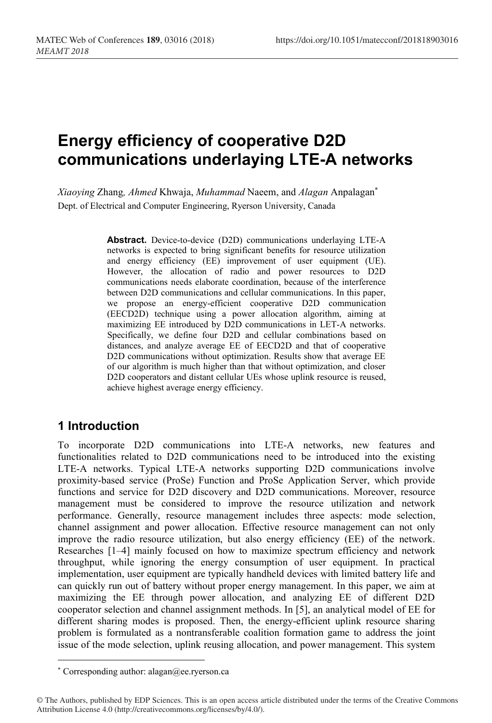# **Energy efficiency of cooperative D2D communications underlaying LTE-A networks**

*Xiaoying* Zhang*, Ahmed* Khwaja, *Muhammad* Naeem, and *Alagan* Anpalagan\* Dept. of Electrical and Computer Engineering, Ryerson University, Canada

> **Abstract.** Device-to-device (D2D) communications underlaying LTE-A networks is expected to bring significant benefits for resource utilization and energy efficiency (EE) improvement of user equipment (UE). However, the allocation of radio and power resources to D2D communications needs elaborate coordination, because of the interference between D2D communications and cellular communications. In this paper, we propose an energy-efficient cooperative D2D communication (EECD2D) technique using a power allocation algorithm, aiming at maximizing EE introduced by D2D communications in LET-A networks. Specifically, we define four D2D and cellular combinations based on distances, and analyze average EE of EECD2D and that of cooperative D2D communications without optimization. Results show that average EE of our algorithm is much higher than that without optimization, and closer D2D cooperators and distant cellular UEs whose uplink resource is reused, achieve highest average energy efficiency.

## **1 Introduction**

To incorporate D2D communications into LTE-A networks, new features and functionalities related to D2D communications need to be introduced into the existing LTE-A networks. Typical LTE-A networks supporting D2D communications involve proximity-based service (ProSe) Function and ProSe Application Server, which provide functions and service for D2D discovery and D2D communications. Moreover, resource management must be considered to improve the resource utilization and network performance. Generally, resource management includes three aspects: mode selection, channel assignment and power allocation. Effective resource management can not only improve the radio resource utilization, but also energy efficiency (EE) of the network. Researches [1–4] mainly focused on how to maximize spectrum efficiency and network throughput, while ignoring the energy consumption of user equipment. In practical implementation, user equipment are typically handheld devices with limited battery life and can quickly run out of battery without proper energy management. In this paper, we aim at maximizing the EE through power allocation, and analyzing EE of different D2D cooperator selection and channel assignment methods. In [5], an analytical model of EE for different sharing modes is proposed. Then, the energy-efficient uplink resource sharing problem is formulated as a nontransferable coalition formation game to address the joint issue of the mode selection, uplink reusing allocation, and power management. This system

<sup>\*</sup> Corresponding author: alagan@ee.ryerson.ca

<sup>©</sup> The Authors, published by EDP Sciences. This is an open access article distributed under the terms of the Creative Commons Attribution License 4.0 (http://creativecommons.org/licenses/by/4.0/).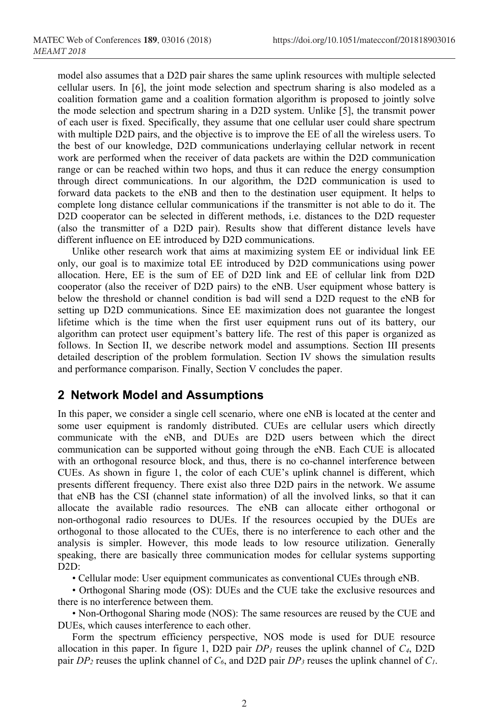model also assumes that a D2D pair shares the same uplink resources with multiple selected cellular users. In [6], the joint mode selection and spectrum sharing is also modeled as a coalition formation game and a coalition formation algorithm is proposed to jointly solve the mode selection and spectrum sharing in a D2D system. Unlike [5], the transmit power of each user is fixed. Specifically, they assume that one cellular user could share spectrum with multiple D2D pairs, and the objective is to improve the EE of all the wireless users. To the best of our knowledge, D2D communications underlaying cellular network in recent work are performed when the receiver of data packets are within the D2D communication range or can be reached within two hops, and thus it can reduce the energy consumption through direct communications. In our algorithm, the D2D communication is used to forward data packets to the eNB and then to the destination user equipment. It helps to complete long distance cellular communications if the transmitter is not able to do it. The D2D cooperator can be selected in different methods, i.e. distances to the D2D requester (also the transmitter of a D2D pair). Results show that different distance levels have different influence on EE introduced by D2D communications.

Unlike other research work that aims at maximizing system EE or individual link EE only, our goal is to maximize total EE introduced by D2D communications using power allocation. Here, EE is the sum of EE of D2D link and EE of cellular link from D2D cooperator (also the receiver of D2D pairs) to the eNB. User equipment whose battery is below the threshold or channel condition is bad will send a D2D request to the eNB for setting up D2D communications. Since EE maximization does not guarantee the longest lifetime which is the time when the first user equipment runs out of its battery, our algorithm can protect user equipment's battery life. The rest of this paper is organized as follows. In Section II, we describe network model and assumptions. Section III presents detailed description of the problem formulation. Section IV shows the simulation results and performance comparison. Finally, Section V concludes the paper.

#### **2 Network Model and Assumptions**

In this paper, we consider a single cell scenario, where one eNB is located at the center and some user equipment is randomly distributed. CUEs are cellular users which directly communicate with the eNB, and DUEs are D2D users between which the direct communication can be supported without going through the eNB. Each CUE is allocated with an orthogonal resource block, and thus, there is no co-channel interference between CUEs. As shown in figure 1, the color of each CUE's uplink channel is different, which presents different frequency. There exist also three D2D pairs in the network. We assume that eNB has the CSI (channel state information) of all the involved links, so that it can allocate the available radio resources. The eNB can allocate either orthogonal or non-orthogonal radio resources to DUEs. If the resources occupied by the DUEs are orthogonal to those allocated to the CUEs, there is no interference to each other and the analysis is simpler. However, this mode leads to low resource utilization. Generally speaking, there are basically three communication modes for cellular systems supporting D<sub>2</sub>D:

• Cellular mode: User equipment communicates as conventional CUEs through eNB.

• Orthogonal Sharing mode (OS): DUEs and the CUE take the exclusive resources and there is no interference between them.

• Non-Orthogonal Sharing mode (NOS): The same resources are reused by the CUE and DUEs, which causes interference to each other.

Form the spectrum efficiency perspective, NOS mode is used for DUE resource allocation in this paper. In figure 1, D2D pair  $DP<sub>l</sub>$  reuses the uplink channel of  $C<sub>4</sub>$ , D2D pair *DP2* reuses the uplink channel of *C6*, and D2D pair *DP3* reuses the uplink channel of *C1*.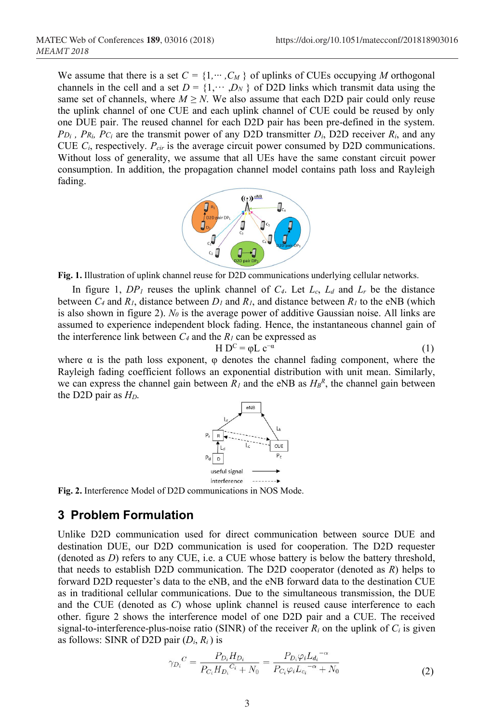We assume that there is a set  $C = \{1, \dots, C_M\}$  of uplinks of CUEs occupying *M* orthogonal channels in the cell and a set  $D = \{1, \dots, D_N\}$  of D2D links which transmit data using the same set of channels, where  $M \ge N$ . We also assume that each D2D pair could only reuse the uplink channel of one CUE and each uplink channel of CUE could be reused by only one DUE pair. The reused channel for each D2D pair has been pre-defined in the system.  $PD_i$ ,  $PR_i$ ,  $PC_i$  are the transmit power of any D2D transmitter  $D_i$ , D2D receiver  $R_i$ , and any CUE *Ci*, respectively. *Pcir* is the average circuit power consumed by D2D communications. Without loss of generality, we assume that all UEs have the same constant circuit power consumption. In addition, the propagation channel model contains path loss and Rayleigh fading.



**Fig. 1.** Illustration of uplink channel reuse for D2D communications underlying cellular networks.

In figure 1,  $DP_1$  reuses the uplink channel of  $C_4$ . Let  $L_c$ ,  $L_d$  and  $L_r$  be the distance between  $C_4$  and  $R_1$ , distance between  $D_1$  and  $R_1$ , and distance between  $R_1$  to the eNB (which is also shown in figure 2).  $N_0$  is the average power of additive Gaussian noise. All links are assumed to experience independent block fading. Hence, the instantaneous channel gain of the interference link between  $C_4$  and the  $R_1$  can be expressed as

$$
H DC = \varphi L c-a
$$
 (1)

where  $\alpha$  is the path loss exponent,  $\varphi$  denotes the channel fading component, where the Rayleigh fading coefficient follows an exponential distribution with unit mean. Similarly, we can express the channel gain between  $R_l$  and the eNB as  $H_B^R$ , the channel gain between the D2D pair as *HD*.





#### **3 Problem Formulation**

Unlike D2D communication used for direct communication between source DUE and destination DUE, our D2D communication is used for cooperation. The D2D requester (denoted as *D*) refers to any CUE, i.e. a CUE whose battery is below the battery threshold, that needs to establish D2D communication. The D2D cooperator (denoted as *R*) helps to forward D2D requester's data to the eNB, and the eNB forward data to the destination CUE as in traditional cellular communications. Due to the simultaneous transmission, the DUE and the CUE (denoted as *C*) whose uplink channel is reused cause interference to each other. figure 2 shows the interference model of one D2D pair and a CUE. The received signal-to-interference-plus-noise ratio (SINR) of the receiver  $R_i$  on the uplink of  $C_i$  is given as follows: SINR of D2D pair (*Di*, *Ri* ) is

$$
\gamma_{D_i}{}^C = \frac{P_{D_i} H_{D_i}}{P_{C_i} H_{D_i}{}^{C_i} + N_0} = \frac{P_{D_i} \varphi_i L_{d_i}{}^{-\alpha}}{P_{C_i} \varphi_i L_{c_i}{}^{-\alpha} + N_0}
$$
(2)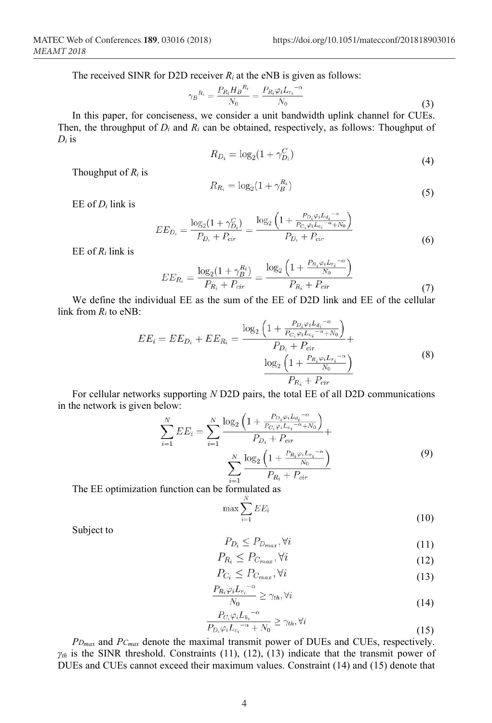The received SINR for D2D receiver  $R_i$  at the eNB is given as follows:

$$
\gamma_B{}^{R_i} = \frac{P_{R_i} H_B{}^{R_i}}{N_0} = \frac{P_{R_i} \varphi_i L_{r_i}{}^{-\alpha}}{N_0} \tag{3}
$$

In this paper, for conciseness, we consider a unit bandwidth uplink channel for CUEs. Then, the throughput of *Di* and *Ri* can be obtained, respectively, as follows: Thoughput of *Di* is

$$
R_{D_i} = \log_2(1 + \gamma_{D_i}^C) \tag{4}
$$

Thoughput of *Ri* is

$$
R_{R_i} = \log_2(1 + \gamma_B^{R_i})\tag{5}
$$

EE of *Di* link is

$$
EE_{D_i} = \frac{\log_2(1 + \gamma_{D_i}^C)}{P_{D_i} + P_{cir}} = \frac{\log_2\left(1 + \frac{P_{D_i}\varphi_i L_{d_i}^{-\alpha}}{P_{C_i}\varphi_i L_{c_i}^{-\alpha} + N_0}\right)}{P_{D_i} + P_{cir}}
$$
(6)

EE of *Ri* link is

$$
EE_{R_i} = \frac{\log_2(1 + \gamma_B^{R_i})}{P_{R_i} + P_{cir}} = \frac{\log_2\left(1 + \frac{P_{R_i}\varphi_i L_{r_i} - \alpha}{N_0}\right)}{P_{R_i} + P_{cir}}
$$
(7)

We define the individual EE as the sum of the EE of D2D link and EE of the cellular link from *Ri* to eNB:

$$
EE_i = EE_{D_i} + EE_{R_i} = \frac{\log_2\left(1 + \frac{P_{D_i}\varphi_i L_{d_i} - \alpha}{P_{C_i}\varphi_i L_{c_i} - \alpha + N_0}\right)}{P_{D_i} + P_{cir}} + \frac{\log_2\left(1 + \frac{P_{R_i}\varphi_i L_{r_i} - \alpha}{N_0}\right)}{P_{R_i} + P_{cir}}
$$
\n(8)

For cellular networks supporting *N* D2D pairs, the total EE of all D2D communications in the network is given below:

$$
\sum_{i=1}^{N} EE_i = \sum_{i=1}^{N} \frac{\log_2 \left( 1 + \frac{P_{D_i} \varphi_i L_{d_i} - \alpha}{P_{C_i} \varphi_i L_{c_i} - \alpha + N_0} \right)}{P_{D_i} + P_{cir}} + \frac{\sum_{i=1}^{N} \frac{\log_2 \left( 1 + \frac{P_{R_i} \varphi_i L_{r_i} - \alpha}{N_0} \right)}{P_{R_i} + P_{cir}}}{P_{R_i} + P_{cir}}
$$
\n(9)

The EE optimization function can be formulated as

$$
\max \sum_{i=1}^{N} EE_i \tag{10}
$$

Subject to

$$
P_{D_i} \le P_{D_{max}}, \forall i \tag{11}
$$

$$
P_{R_i} \le P_{C_{max}}, \forall i \tag{12}
$$

$$
P_{C_i} \le P_{C_{max}}, \forall i \tag{13}
$$

$$
\frac{P_{R_i}\varphi_i L_{r_i}^{-\alpha}}{N_0} \ge \gamma_{th}, \forall i
$$
\n(14)

$$
\frac{P_{C_i}\varphi_i L_{k_i}^{-\alpha}}{P_{D_i}\varphi_i L_{c_i}^{-\alpha} + N_0} \ge \gamma_{th}, \forall i
$$
\n(15)

*PDmax* and *PCmax* denote the maximal transmit power of DUEs and CUEs, respectively.  $\gamma_{th}$  is the SINR threshold. Constraints (11), (12), (13) indicate that the transmit power of DUEs and CUEs cannot exceed their maximum values. Constraint (14) and (15) denote that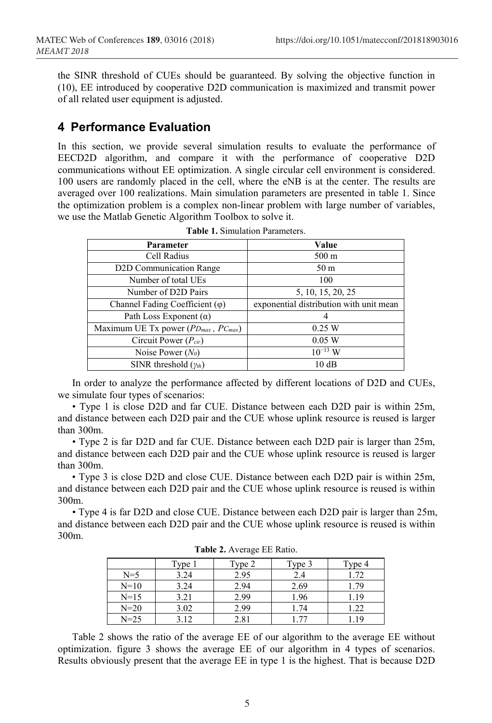the SINR threshold of CUEs should be guaranteed. By solving the objective function in (10), EE introduced by cooperative D2D communication is maximized and transmit power of all related user equipment is adjusted.

## **4 Performance Evaluation**

In this section, we provide several simulation results to evaluate the performance of EECD2D algorithm, and compare it with the performance of cooperative D2D communications without EE optimization. A single circular cell environment is considered. 100 users are randomly placed in the cell, where the eNB is at the center. The results are averaged over 100 realizations. Main simulation parameters are presented in table 1. Since the optimization problem is a complex non-linear problem with large number of variables, we use the Matlab Genetic Algorithm Toolbox to solve it.

| <b>Parameter</b>                           | Value                                   |  |
|--------------------------------------------|-----------------------------------------|--|
| Cell Radius                                | $500 \text{ m}$                         |  |
| D2D Communication Range                    | 50 <sub>m</sub>                         |  |
| Number of total UEs                        | 100                                     |  |
| Number of D2D Pairs                        | 5, 10, 15, 20, 25                       |  |
| Channel Fading Coefficient $(\varphi)$     | exponential distribution with unit mean |  |
| Path Loss Exponent $(\alpha)$              |                                         |  |
| Maximum UE Tx power $(PD_{max}, PC_{max})$ | 0.25 W                                  |  |
| Circuit Power $(P_{cir})$                  | 0.05 W                                  |  |
| Noise Power $(N_0)$                        | $10^{-13}$ W                            |  |
| SINR threshold $(\gamma_{th})$             | 10dB                                    |  |

**Table 1.** Simulation Parameters.

In order to analyze the performance affected by different locations of D2D and CUEs, we simulate four types of scenarios:

• Type 1 is close D2D and far CUE. Distance between each D2D pair is within 25m, and distance between each D2D pair and the CUE whose uplink resource is reused is larger than 300m.

• Type 2 is far D2D and far CUE. Distance between each D2D pair is larger than 25m, and distance between each D2D pair and the CUE whose uplink resource is reused is larger than 300m.

• Type 3 is close D2D and close CUE. Distance between each D2D pair is within 25m, and distance between each D2D pair and the CUE whose uplink resource is reused is within 300m.

• Type 4 is far D2D and close CUE. Distance between each D2D pair is larger than 25m, and distance between each D2D pair and the CUE whose uplink resource is reused is within 300m.

|          | Type 1 | Type 2 | Type 3 | Type 4 |
|----------|--------|--------|--------|--------|
| $N=5$    | 3.24   | 2.95   | 2.4    | 1.72   |
| $N=10$   | 3.24   | 2.94   | 2.69   | 1.79   |
| $N=15$   | 3.21   | 2.99   | 1.96   | 1.19   |
| $N = 20$ | 3.02   | 2.99   | 1.74   | 1.22   |
| $N = 25$ | 3.12   | 2.81   |        | . 19   |

**Table 2.** Average EE Ratio.

Table 2 shows the ratio of the average EE of our algorithm to the average EE without optimization. figure 3 shows the average EE of our algorithm in 4 types of scenarios. Results obviously present that the average EE in type 1 is the highest. That is because D2D